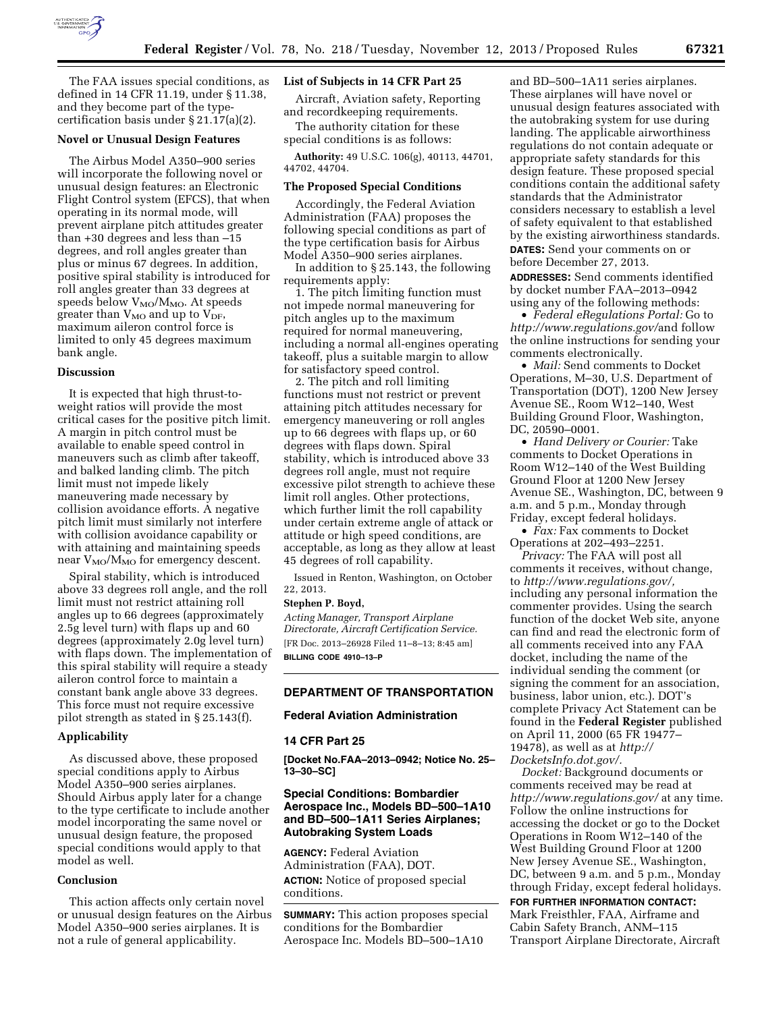

The FAA issues special conditions, as defined in 14 CFR 11.19, under § 11.38, and they become part of the typecertification basis under § 21.17(a)(2).

### **Novel or Unusual Design Features**

The Airbus Model A350–900 series will incorporate the following novel or unusual design features: an Electronic Flight Control system (EFCS), that when operating in its normal mode, will prevent airplane pitch attitudes greater than +30 degrees and less than –15 degrees, and roll angles greater than plus or minus 67 degrees. In addition, positive spiral stability is introduced for roll angles greater than 33 degrees at speeds below  $V_{\rm MO}/M_{\rm MO}$ . At speeds greater than  $V_{MO}$  and up to  $V_{DF}$ , maximum aileron control force is limited to only 45 degrees maximum bank angle.

#### **Discussion**

It is expected that high thrust-toweight ratios will provide the most critical cases for the positive pitch limit. A margin in pitch control must be available to enable speed control in maneuvers such as climb after takeoff, and balked landing climb. The pitch limit must not impede likely maneuvering made necessary by collision avoidance efforts. A negative pitch limit must similarly not interfere with collision avoidance capability or with attaining and maintaining speeds near  $V_{MO}/M_{MO}$  for emergency descent.

Spiral stability, which is introduced above 33 degrees roll angle, and the roll limit must not restrict attaining roll angles up to 66 degrees (approximately 2.5g level turn) with flaps up and 60 degrees (approximately 2.0g level turn) with flaps down. The implementation of this spiral stability will require a steady aileron control force to maintain a constant bank angle above 33 degrees. This force must not require excessive pilot strength as stated in § 25.143(f).

#### **Applicability**

As discussed above, these proposed special conditions apply to Airbus Model A350–900 series airplanes. Should Airbus apply later for a change to the type certificate to include another model incorporating the same novel or unusual design feature, the proposed special conditions would apply to that model as well.

### **Conclusion**

This action affects only certain novel or unusual design features on the Airbus Model A350–900 series airplanes. It is not a rule of general applicability.

### **List of Subjects in 14 CFR Part 25**

Aircraft, Aviation safety, Reporting and recordkeeping requirements.

The authority citation for these special conditions is as follows:

**Authority:** 49 U.S.C. 106(g), 40113, 44701, 44702, 44704.

### **The Proposed Special Conditions**

Accordingly, the Federal Aviation Administration (FAA) proposes the following special conditions as part of the type certification basis for Airbus Model A350–900 series airplanes.

In addition to § 25.143, the following requirements apply:

1. The pitch limiting function must not impede normal maneuvering for pitch angles up to the maximum required for normal maneuvering, including a normal all-engines operating takeoff, plus a suitable margin to allow for satisfactory speed control.

2. The pitch and roll limiting functions must not restrict or prevent attaining pitch attitudes necessary for emergency maneuvering or roll angles up to 66 degrees with flaps up, or 60 degrees with flaps down. Spiral stability, which is introduced above 33 degrees roll angle, must not require excessive pilot strength to achieve these limit roll angles. Other protections, which further limit the roll capability under certain extreme angle of attack or attitude or high speed conditions, are acceptable, as long as they allow at least 45 degrees of roll capability.

Issued in Renton, Washington, on October 22, 2013.

### **Stephen P. Boyd,**

*Acting Manager, Transport Airplane Directorate, Aircraft Certification Service.*  [FR Doc. 2013–26928 Filed 11–8–13; 8:45 am] **BILLING CODE 4910–13–P** 

# **DEPARTMENT OF TRANSPORTATION**

# **Federal Aviation Administration**

#### **14 CFR Part 25**

**[Docket No.FAA–2013–0942; Notice No. 25– 13–30–SC]** 

## **Special Conditions: Bombardier Aerospace Inc., Models BD–500–1A10 and BD–500–1A11 Series Airplanes; Autobraking System Loads**

**AGENCY:** Federal Aviation Administration (FAA), DOT. **ACTION:** Notice of proposed special conditions.

**SUMMARY:** This action proposes special conditions for the Bombardier Aerospace Inc. Models BD–500–1A10

and BD–500–1A11 series airplanes. These airplanes will have novel or unusual design features associated with the autobraking system for use during landing. The applicable airworthiness regulations do not contain adequate or appropriate safety standards for this design feature. These proposed special conditions contain the additional safety standards that the Administrator considers necessary to establish a level of safety equivalent to that established by the existing airworthiness standards.

**DATES:** Send your comments on or before December 27, 2013.

**ADDRESSES:** Send comments identified by docket number FAA–2013–0942 using any of the following methods:

• *Federal eRegulations Portal:* Go to *[http://www.regulations.gov/](http://www.regulations.gov)*and follow the online instructions for sending your comments electronically.

• *Mail:* Send comments to Docket Operations, M–30, U.S. Department of Transportation (DOT), 1200 New Jersey Avenue SE., Room W12–140, West Building Ground Floor, Washington, DC, 20590–0001.

• *Hand Delivery or Courier:* Take comments to Docket Operations in Room W12–140 of the West Building Ground Floor at 1200 New Jersey Avenue SE., Washington, DC, between 9 a.m. and 5 p.m., Monday through Friday, except federal holidays.

• *Fax:* Fax comments to Docket Operations at 202–493–2251.

*Privacy:* The FAA will post all comments it receives, without change, to *[http://www.regulations.gov/,](http://www.regulations.gov/)*  including any personal information the commenter provides. Using the search function of the docket Web site, anyone can find and read the electronic form of all comments received into any FAA docket, including the name of the individual sending the comment (or signing the comment for an association, business, labor union, etc.). DOT's complete Privacy Act Statement can be found in the **Federal Register** published on April 11, 2000 (65 FR 19477– 19478), as well as at *[http://](http://DocketsInfo.dot.gov/)  [DocketsInfo.dot.gov/.](http://DocketsInfo.dot.gov/)* 

*Docket:* Background documents or comments received may be read at *<http://www.regulations.gov/>*at any time. Follow the online instructions for accessing the docket or go to the Docket Operations in Room W12–140 of the West Building Ground Floor at 1200 New Jersey Avenue SE., Washington, DC, between 9 a.m. and 5 p.m., Monday through Friday, except federal holidays.

**FOR FURTHER INFORMATION CONTACT:**  Mark Freisthler, FAA, Airframe and Cabin Safety Branch, ANM–115 Transport Airplane Directorate, Aircraft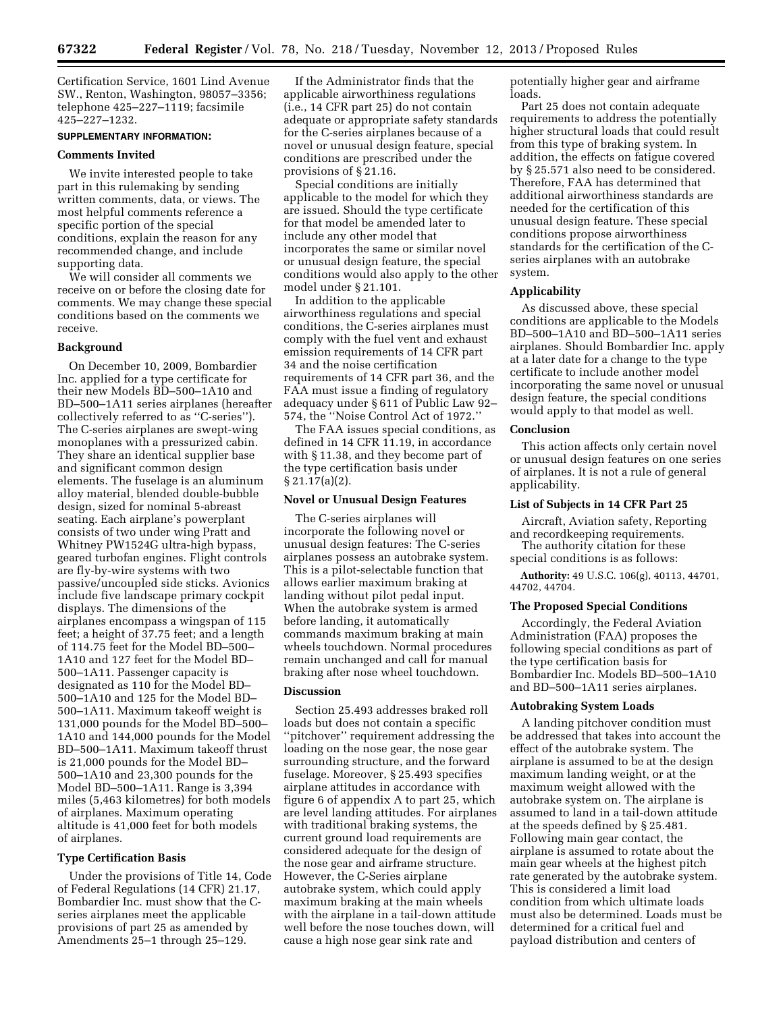Certification Service, 1601 Lind Avenue SW., Renton, Washington, 98057–3356; telephone 425–227–1119; facsimile 425–227–1232.

# **SUPPLEMENTARY INFORMATION:**

### **Comments Invited**

We invite interested people to take part in this rulemaking by sending written comments, data, or views. The most helpful comments reference a specific portion of the special conditions, explain the reason for any recommended change, and include supporting data.

We will consider all comments we receive on or before the closing date for comments. We may change these special conditions based on the comments we receive.

### **Background**

On December 10, 2009, Bombardier Inc. applied for a type certificate for their new Models BD–500–1A10 and BD–500–1A11 series airplanes (hereafter collectively referred to as ''C-series''). The C-series airplanes are swept-wing monoplanes with a pressurized cabin. They share an identical supplier base and significant common design elements. The fuselage is an aluminum alloy material, blended double-bubble design, sized for nominal 5-abreast seating. Each airplane's powerplant consists of two under wing Pratt and Whitney PW1524G ultra-high bypass, geared turbofan engines. Flight controls are fly-by-wire systems with two passive/uncoupled side sticks. Avionics include five landscape primary cockpit displays. The dimensions of the airplanes encompass a wingspan of 115 feet; a height of 37.75 feet; and a length of 114.75 feet for the Model BD–500– 1A10 and 127 feet for the Model BD– 500–1A11. Passenger capacity is designated as 110 for the Model BD– 500–1A10 and 125 for the Model BD– 500–1A11. Maximum takeoff weight is 131,000 pounds for the Model BD–500– 1A10 and 144,000 pounds for the Model BD–500–1A11. Maximum takeoff thrust is 21,000 pounds for the Model BD– 500–1A10 and 23,300 pounds for the Model BD–500–1A11. Range is 3,394 miles (5,463 kilometres) for both models of airplanes. Maximum operating altitude is 41,000 feet for both models of airplanes.

### **Type Certification Basis**

Under the provisions of Title 14, Code of Federal Regulations (14 CFR) 21.17, Bombardier Inc. must show that the Cseries airplanes meet the applicable provisions of part 25 as amended by Amendments 25–1 through 25–129.

If the Administrator finds that the applicable airworthiness regulations (i.e., 14 CFR part 25) do not contain adequate or appropriate safety standards for the C-series airplanes because of a novel or unusual design feature, special conditions are prescribed under the provisions of § 21.16.

Special conditions are initially applicable to the model for which they are issued. Should the type certificate for that model be amended later to include any other model that incorporates the same or similar novel or unusual design feature, the special conditions would also apply to the other model under § 21.101.

In addition to the applicable airworthiness regulations and special conditions, the C-series airplanes must comply with the fuel vent and exhaust emission requirements of 14 CFR part 34 and the noise certification requirements of 14 CFR part 36, and the FAA must issue a finding of regulatory adequacy under § 611 of Public Law 92– 574, the ''Noise Control Act of 1972.''

The FAA issues special conditions, as defined in 14 CFR 11.19, in accordance with § 11.38, and they become part of the type certification basis under § 21.17(a)(2).

### **Novel or Unusual Design Features**

The C-series airplanes will incorporate the following novel or unusual design features: The C-series airplanes possess an autobrake system. This is a pilot-selectable function that allows earlier maximum braking at landing without pilot pedal input. When the autobrake system is armed before landing, it automatically commands maximum braking at main wheels touchdown. Normal procedures remain unchanged and call for manual braking after nose wheel touchdown.

### **Discussion**

Section 25.493 addresses braked roll loads but does not contain a specific ''pitchover'' requirement addressing the loading on the nose gear, the nose gear surrounding structure, and the forward fuselage. Moreover, § 25.493 specifies airplane attitudes in accordance with figure 6 of appendix A to part 25, which are level landing attitudes. For airplanes with traditional braking systems, the current ground load requirements are considered adequate for the design of the nose gear and airframe structure. However, the C-Series airplane autobrake system, which could apply maximum braking at the main wheels with the airplane in a tail-down attitude well before the nose touches down, will cause a high nose gear sink rate and

potentially higher gear and airframe loads.

Part 25 does not contain adequate requirements to address the potentially higher structural loads that could result from this type of braking system. In addition, the effects on fatigue covered by § 25.571 also need to be considered. Therefore, FAA has determined that additional airworthiness standards are needed for the certification of this unusual design feature. These special conditions propose airworthiness standards for the certification of the Cseries airplanes with an autobrake system.

#### **Applicability**

As discussed above, these special conditions are applicable to the Models BD–500–1A10 and BD–500–1A11 series airplanes. Should Bombardier Inc. apply at a later date for a change to the type certificate to include another model incorporating the same novel or unusual design feature, the special conditions would apply to that model as well.

### **Conclusion**

This action affects only certain novel or unusual design features on one series of airplanes. It is not a rule of general applicability.

#### **List of Subjects in 14 CFR Part 25**

Aircraft, Aviation safety, Reporting and recordkeeping requirements.

The authority citation for these special conditions is as follows:

**Authority:** 49 U.S.C. 106(g), 40113, 44701, 44702, 44704.

#### **The Proposed Special Conditions**

Accordingly, the Federal Aviation Administration (FAA) proposes the following special conditions as part of the type certification basis for Bombardier Inc. Models BD–500–1A10 and BD–500–1A11 series airplanes.

### **Autobraking System Loads**

A landing pitchover condition must be addressed that takes into account the effect of the autobrake system. The airplane is assumed to be at the design maximum landing weight, or at the maximum weight allowed with the autobrake system on. The airplane is assumed to land in a tail-down attitude at the speeds defined by § 25.481. Following main gear contact, the airplane is assumed to rotate about the main gear wheels at the highest pitch rate generated by the autobrake system. This is considered a limit load condition from which ultimate loads must also be determined. Loads must be determined for a critical fuel and payload distribution and centers of